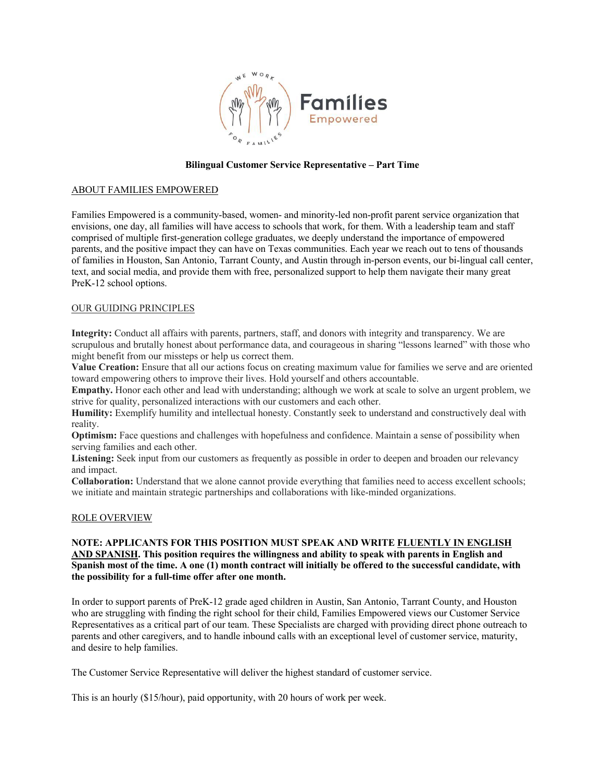

#### **Bilingual Customer Service Representative – Part Time**

### ABOUT FAMILIES EMPOWERED

Families Empowered is a community-based, women- and minority-led non-profit parent service organization that envisions, one day, all families will have access to schools that work, for them. With a leadership team and staff comprised of multiple first-generation college graduates, we deeply understand the importance of empowered parents, and the positive impact they can have on Texas communities. Each year we reach out to tens of thousands of families in Houston, San Antonio, Tarrant County, and Austin through in-person events, our bi-lingual call center, text, and social media, and provide them with free, personalized support to help them navigate their many great PreK-12 school options.

### OUR GUIDING PRINCIPLES

**Integrity:** Conduct all affairs with parents, partners, staff, and donors with integrity and transparency. We are scrupulous and brutally honest about performance data, and courageous in sharing "lessons learned" with those who might benefit from our missteps or help us correct them.

**Value Creation:** Ensure that all our actions focus on creating maximum value for families we serve and are oriented toward empowering others to improve their lives. Hold yourself and others accountable.

**Empathy.** Honor each other and lead with understanding; although we work at scale to solve an urgent problem, we strive for quality, personalized interactions with our customers and each other.

Humility: Exemplify humility and intellectual honesty. Constantly seek to understand and constructively deal with reality.

**Optimism:** Face questions and challenges with hopefulness and confidence. Maintain a sense of possibility when serving families and each other.

**Listening:** Seek input from our customers as frequently as possible in order to deepen and broaden our relevancy and impact.

**Collaboration:** Understand that we alone cannot provide everything that families need to access excellent schools; we initiate and maintain strategic partnerships and collaborations with like-minded organizations.

#### ROLE OVERVIEW

## **NOTE: APPLICANTS FOR THIS POSITION MUST SPEAK AND WRITE FLUENTLY IN ENGLISH AND SPANISH. This position requires the willingness and ability to speak with parents in English and Spanish most of the time. A one (1) month contract will initially be offered to the successful candidate, with the possibility for a full-time offer after one month.**

In order to support parents of PreK-12 grade aged children in Austin, San Antonio, Tarrant County, and Houston who are struggling with finding the right school for their child, Families Empowered views our Customer Service Representatives as a critical part of our team. These Specialists are charged with providing direct phone outreach to parents and other caregivers, and to handle inbound calls with an exceptional level of customer service, maturity, and desire to help families.

The Customer Service Representative will deliver the highest standard of customer service.

This is an hourly (\$15/hour), paid opportunity, with 20 hours of work per week.